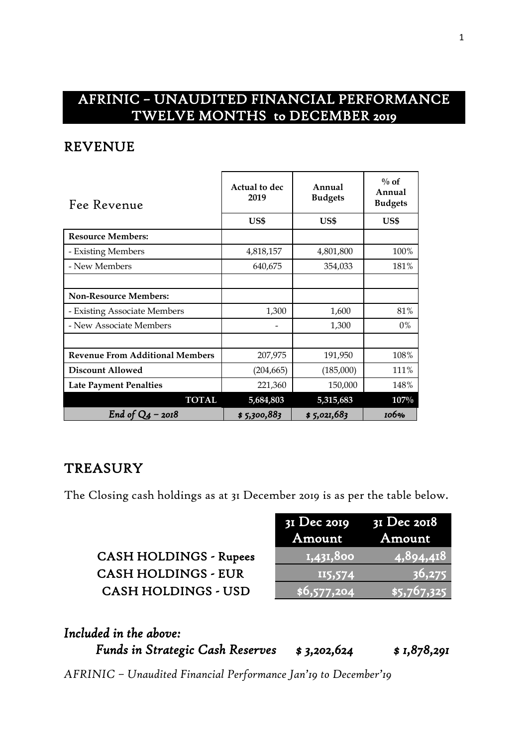# AFRINIC – UNAUDITED FINANCIAL PERFORMANCE TWELVE MONTHS to DECEMBER 2019

#### REVENUE

| Fee Revenue                            | Actual to dec<br>2019 | Annual<br><b>Budgets</b> | $\%$ of<br>Annual<br><b>Budgets</b> |  |
|----------------------------------------|-----------------------|--------------------------|-------------------------------------|--|
|                                        | US\$                  | US\$                     | US\$                                |  |
| <b>Resource Members:</b>               |                       |                          |                                     |  |
| - Existing Members                     | 4,818,157             | 4,801,800                | 100%                                |  |
| - New Members                          | 640,675               | 354,033                  | 181%                                |  |
|                                        |                       |                          |                                     |  |
| <b>Non-Resource Members:</b>           |                       |                          |                                     |  |
| - Existing Associate Members           | 1,300                 | 1,600                    | 81%                                 |  |
| - New Associate Members                |                       | 1,300                    | $0\%$                               |  |
|                                        |                       |                          |                                     |  |
| <b>Revenue From Additional Members</b> | 207,975               | 191,950                  | 108%                                |  |
| <b>Discount Allowed</b>                | (204, 665)            | (185,000)                | 111%                                |  |
| <b>Late Payment Penalties</b>          | 221,360               | 150,000                  | 148%                                |  |
| <b>TOTAL</b>                           | 5,684,803             | 5,315,683                | $107\%$                             |  |
| End of $Q_4$ – 2018                    | \$5,300,883           | \$5,021,683              | 106%                                |  |

#### **TREASURY**

The Closing cash holdings as at 31 December 2019 is as per the table below.

| <b>CASH HOLDINGS - Rupees</b> |
|-------------------------------|
| <b>CASH HOLDINGS - EUR</b>    |
| <b>CASH HOLDINGS - USD</b>    |

|                               | $3I$ Dec 2019 $3I$ Dec 2018 |               |
|-------------------------------|-----------------------------|---------------|
|                               | Amount                      | <b>Amount</b> |
| <b>CASH HOLDINGS - Rupees</b> | 1,431,800                   | 4,894,418     |
| <b>CASH HOLDINGS - EUR</b>    | II5,574                     | 36,275        |
| <b>CASH HOLDINGS - USD</b>    | $\sqrt{5,577,204}$          | \$5,767,325   |

| Included in the above:                  |             |             |
|-----------------------------------------|-------------|-------------|
| <b>Funds in Strategic Cash Reserves</b> | \$3,202,624 | \$1,878,291 |

*AFRINIC – Unaudited Financial Performance Jan'19 to December'19*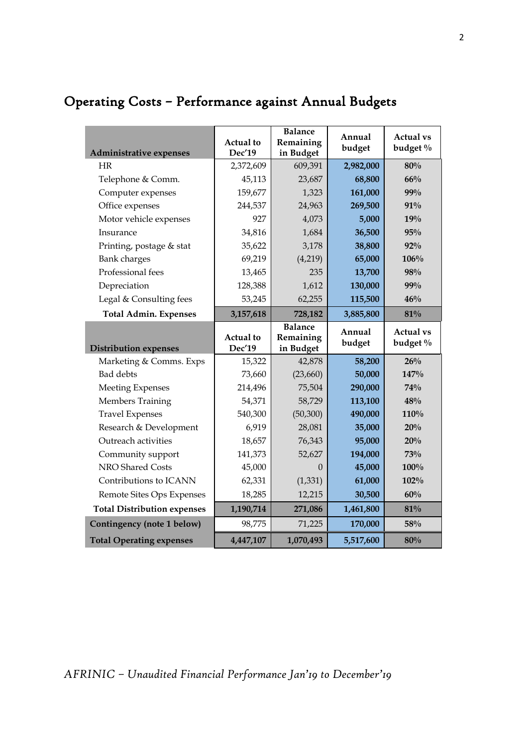| Administrative expenses            | Actual to<br>Dec'19        | <b>Balance</b><br>Remaining<br>in Budget | Annual<br>budget | <b>Actual vs</b><br>budget % |
|------------------------------------|----------------------------|------------------------------------------|------------------|------------------------------|
| <b>HR</b>                          | 2,372,609                  | 609,391                                  | 2,982,000        | 80%                          |
| Telephone & Comm.                  | 45,113                     | 23,687                                   | 68,800           | 66%                          |
| Computer expenses                  | 159,677                    | 1,323                                    | 161,000          | 99%                          |
| Office expenses                    | 244,537                    | 24,963                                   | 269,500          | 91%                          |
| Motor vehicle expenses             | 927                        | 4,073                                    | 5,000            | 19%                          |
| Insurance                          | 34,816                     | 1,684                                    | 36,500           | 95%                          |
| Printing, postage & stat           | 35,622                     | 3,178                                    | 38,800           | 92%                          |
| <b>Bank</b> charges                | 69,219                     | (4,219)                                  | 65,000           | 106%                         |
| Professional fees                  | 13,465                     | 235                                      | 13,700           | 98%                          |
| Depreciation                       | 128,388                    | 1,612                                    | 130,000          | 99%                          |
| Legal & Consulting fees            | 53,245                     | 62,255                                   | 115,500          | 46%                          |
| <b>Total Admin. Expenses</b>       | 3,157,618                  | 728,182                                  | 3,885,800        | 81%                          |
| <b>Distribution expenses</b>       | <b>Actual</b> to<br>Dec'19 | <b>Balance</b><br>Remaining<br>in Budget | Annual<br>budget | <b>Actual vs</b><br>budget % |
| Marketing & Comms. Exps            | 15,322                     | 42,878                                   | 58,200           | 26%                          |
| <b>Bad</b> debts                   | 73,660                     | (23,660)                                 | 50,000           | 147%                         |
| <b>Meeting Expenses</b>            | 214,496                    | 75,504                                   | 290,000          | 74%                          |
| Members Training                   | 54,371                     | 58,729                                   | 113,100          | 48%                          |
| <b>Travel Expenses</b>             | 540,300                    | (50, 300)                                | 490,000          | 110%                         |
| Research & Development             | 6,919                      | 28,081                                   | 35,000           | 20%                          |
| Outreach activities                | 18,657                     | 76,343                                   | 95,000           | 20%                          |
| Community support                  | 141,373                    | 52,627                                   | 194,000          | 73%                          |
| NRO Shared Costs                   | 45,000                     | $\Omega$                                 | 45,000           | 100%                         |
| Contributions to ICANN             | 62,331                     | (1, 331)                                 | 61,000           | 102%                         |
| Remote Sites Ops Expenses          | 18,285                     | 12,215                                   | 30,500           | 60%                          |
| <b>Total Distribution expenses</b> | 1,190,714                  | 271,086                                  | 1,461,800        | 81%                          |
| Contingency (note 1 below)         | 98,775                     | 71,225                                   | 170,000          | 58%                          |
| <b>Total Operating expenses</b>    | 4,447,107                  | 1,070,493                                | 5,517,600        | 80%                          |

# Operating Costs – Performance against Annual Budgets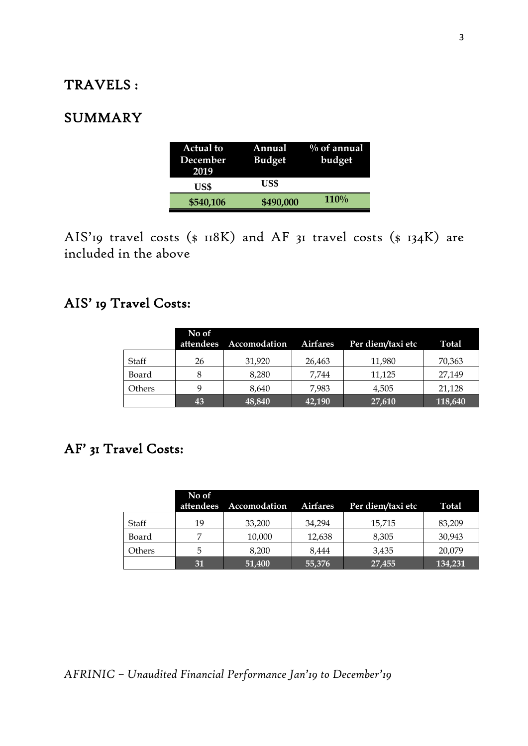### TRAVELS :

### SUMMARY

| <b>Actual to</b> | Annual        | $\%$ of annual |
|------------------|---------------|----------------|
| December         | <b>Budget</b> | budget         |
| 2019             |               |                |
| US\$             | US\$          |                |
| \$540,106        | \$490,000     | 110%           |

AIS'19 travel costs (\$ 118K) and AF 31 travel costs (\$ 134K) are included in the above

## AIS' 19 Travel Costs:

|        | No of<br>attendees | Accomodation | <b>Airfares</b> | Per diem/taxi etc | <b>Total</b> |
|--------|--------------------|--------------|-----------------|-------------------|--------------|
| Staff  | 26                 | 31,920       | 26,463          | 11,980            | 70,363       |
| Board  |                    | 8.280        | 7.744           | 11,125            | 27,149       |
| Others |                    | 8.640        | 7.983           | 4,505             | 21,128       |
|        | 43                 | 48,840       | 42,190          | 27,610            | 118,640      |

## AF' 31 Travel Costs:

|        | No of<br>attendees | Accomodation | <b>Airfares</b> | Per diem/taxi etc | Total   |
|--------|--------------------|--------------|-----------------|-------------------|---------|
| Staff  | 19                 | 33,200       | 34,294          | 15,715            | 83,209  |
| Board  |                    | 10,000       | 12,638          | 8,305             | 30,943  |
| Others | 5                  | 8.200        | 8.444           | 3.435             | 20,079  |
|        | 31                 | 51,400       | 55,376          | 27,455            | 134,231 |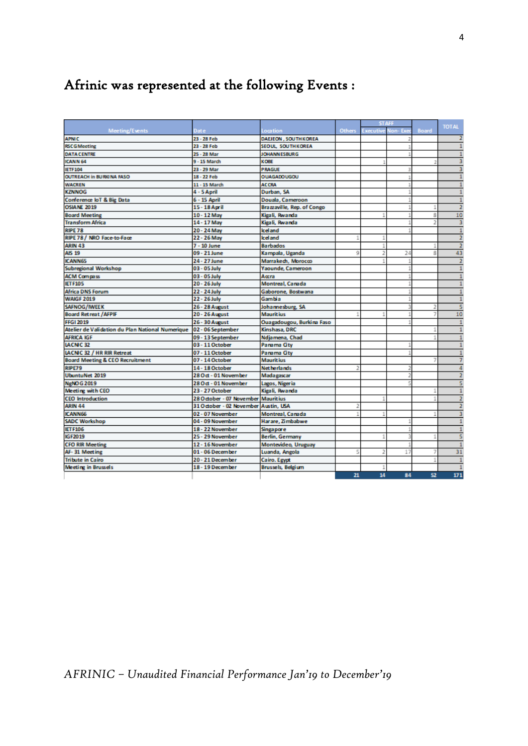# Afrinic was represented at the following Events :

| Others<br>Board<br>Meeting/Events<br><b>Executive</b><br>Non-Exe<br>Dat e<br>Location<br><b>APNIC</b><br>23 - 28 Feb<br>DAEJEON, SOUTHKOREA<br><b>RSCG</b> Meeting<br>23 - 28 Feb<br>SEOUL SOUTHKOREA<br><b>DATA CENTRE</b><br>25 - 28 Mar<br><b>JOHANNESBURG</b><br><b>ICANN 64</b><br>9 - 15 March<br>KOBE<br>J.<br>23 - 29 Mar<br><b>PRAGUE</b><br><b>IETF104</b><br>3<br><b>OUTREACH In BURKINA FASO</b><br>18 - 22 Feb<br><b>OUAGADOUGOU</b><br><b>WACREN</b><br>11 - 15 March<br><b>ACCRA</b><br><b>KZNNOG</b><br>4 - 5 April<br>Durban, SA<br>Douala, Cameroon<br>Conference loT & Big Data<br>6 - 15 April<br><b>OSIANE 2019</b><br>15 - 18 April<br>Brazzaville, Rep. of Congo<br>1<br><b>Board Meeting</b><br>Kigali, Rwanda<br>10 - 12 May<br>8<br><b>Transform Africa</b><br>14 - 17 May<br>Kigali, Rwanda<br><b>RIPE 78</b><br>20 - 24 May<br><b>Iceland</b><br>RIPE 78 / NRO Face-to-Face<br><b>Iceland</b><br>22 - 26 May<br><b>ARIN 43</b><br>$7 - 10$ June<br><b>Barbados</b><br>1<br>1<br><b>AIS 19</b><br>8<br>09 - 21 June<br>Kampala, Uganda<br>$\overline{2}$<br>24<br>9<br><b>ICANN65</b><br>24 - 27 June<br>Marrakech, Morocco<br><b>Subregional Workshop</b><br>Yaounde, Cameroon<br>03 - 05 July<br>03 - 05 July<br><b>ACM Compass</b><br>Accra<br><b>Montreal, Canada</b><br><b>IETF105</b><br>20 - 26 July<br><b>Africa DNS Forum</b><br>22 - 24 July<br>Gaborone, Bostwana<br><b>WAIGF 2019</b><br>22 - 26 July<br>Gambia<br>SAFNOG/IWEEK<br>26 - 28 August<br>Johannesburg, SA<br>2<br><b>Board Retreat / AFPIF</b><br><b>Mauritius</b><br>20 - 26 August<br>7<br><b>FFGI 2019</b><br>26 - 30 August<br>Ouagadougou, Burkina Faso<br>Kinshasa, DRC<br>Atelier de Validation du Plan National Numerique<br>02 - 06 September<br>1<br><b>AFRICA IGF</b><br>09 - 13 September<br>Ndjamena, Chad<br><b>IACNIC 32</b><br>Panama City<br>03 - 11 October<br>LACNIC 32 / HR RIR Retreat<br>07 - 11 October<br>Panama City<br><b>Board Meeting &amp; CEO Recruitment</b><br>07 - 14 October<br><b>Mauritius</b><br>7<br><b>RIPE79</b><br>14 - 18 October<br><b>Net herlands</b><br>2<br><b>UbuntuNet 2019</b><br>28 Oct - 01 November<br>Madagascar<br>2<br><b>NeNOG 2019</b><br>28 Oct - 01 November<br>Lagos, Nigeria<br><b>Meeting with CEO</b><br>23 - 27 October<br>Kigali, Rwanda<br>1<br><b>CEO</b> Introduction<br>28 October - 07 November Mauritius<br>31 October - 02 November<br>ARIN 44<br>Austin, USA<br>2<br>ICANN66<br>02 - 07 November<br>Montreal, Canada<br><b>SADC Workshop</b><br>04 - 09 November<br>Harare, Zimbabwe<br><b>IETF106</b><br>18-22 November<br>Singapore<br><b>IGF2019</b><br>25 - 29 November<br>Berlin, Germany<br><b>CFO RIR Meeting</b><br>12 - 16 November<br>Montevideo, Uruguay<br>AF-31 Meeting<br>01 - 06 December<br>Luanda, Angola<br>5<br>2<br>17<br>7<br><b>Tribute in Cairo</b><br>20 - 21 December<br>Cairo. Egypt<br><b>Meeting in Brussels</b><br>18-19 December<br><b>Brussels</b> , Belgium<br>14<br>84 |  |    |  |    |                |
|--------------------------------------------------------------------------------------------------------------------------------------------------------------------------------------------------------------------------------------------------------------------------------------------------------------------------------------------------------------------------------------------------------------------------------------------------------------------------------------------------------------------------------------------------------------------------------------------------------------------------------------------------------------------------------------------------------------------------------------------------------------------------------------------------------------------------------------------------------------------------------------------------------------------------------------------------------------------------------------------------------------------------------------------------------------------------------------------------------------------------------------------------------------------------------------------------------------------------------------------------------------------------------------------------------------------------------------------------------------------------------------------------------------------------------------------------------------------------------------------------------------------------------------------------------------------------------------------------------------------------------------------------------------------------------------------------------------------------------------------------------------------------------------------------------------------------------------------------------------------------------------------------------------------------------------------------------------------------------------------------------------------------------------------------------------------------------------------------------------------------------------------------------------------------------------------------------------------------------------------------------------------------------------------------------------------------------------------------------------------------------------------------------------------------------------------------------------------------------------------------------------------------------------------------------------------------------------------------------------------------------------------------------------------------------------------------------------------------------------------------------------------------------------------------------------------------------------------------------------------------------------------------------------------------------------------------------------------------------------|--|----|--|----|----------------|
|                                                                                                                                                                                                                                                                                                                                                                                                                                                                                                                                                                                                                                                                                                                                                                                                                                                                                                                                                                                                                                                                                                                                                                                                                                                                                                                                                                                                                                                                                                                                                                                                                                                                                                                                                                                                                                                                                                                                                                                                                                                                                                                                                                                                                                                                                                                                                                                                                                                                                                                                                                                                                                                                                                                                                                                                                                                                                                                                                                                      |  |    |  |    | <b>TOTAL</b>   |
|                                                                                                                                                                                                                                                                                                                                                                                                                                                                                                                                                                                                                                                                                                                                                                                                                                                                                                                                                                                                                                                                                                                                                                                                                                                                                                                                                                                                                                                                                                                                                                                                                                                                                                                                                                                                                                                                                                                                                                                                                                                                                                                                                                                                                                                                                                                                                                                                                                                                                                                                                                                                                                                                                                                                                                                                                                                                                                                                                                                      |  |    |  |    | $\overline{2}$ |
|                                                                                                                                                                                                                                                                                                                                                                                                                                                                                                                                                                                                                                                                                                                                                                                                                                                                                                                                                                                                                                                                                                                                                                                                                                                                                                                                                                                                                                                                                                                                                                                                                                                                                                                                                                                                                                                                                                                                                                                                                                                                                                                                                                                                                                                                                                                                                                                                                                                                                                                                                                                                                                                                                                                                                                                                                                                                                                                                                                                      |  |    |  |    | $\mathbf{1}$   |
|                                                                                                                                                                                                                                                                                                                                                                                                                                                                                                                                                                                                                                                                                                                                                                                                                                                                                                                                                                                                                                                                                                                                                                                                                                                                                                                                                                                                                                                                                                                                                                                                                                                                                                                                                                                                                                                                                                                                                                                                                                                                                                                                                                                                                                                                                                                                                                                                                                                                                                                                                                                                                                                                                                                                                                                                                                                                                                                                                                                      |  |    |  |    | 1              |
|                                                                                                                                                                                                                                                                                                                                                                                                                                                                                                                                                                                                                                                                                                                                                                                                                                                                                                                                                                                                                                                                                                                                                                                                                                                                                                                                                                                                                                                                                                                                                                                                                                                                                                                                                                                                                                                                                                                                                                                                                                                                                                                                                                                                                                                                                                                                                                                                                                                                                                                                                                                                                                                                                                                                                                                                                                                                                                                                                                                      |  |    |  |    | 3              |
|                                                                                                                                                                                                                                                                                                                                                                                                                                                                                                                                                                                                                                                                                                                                                                                                                                                                                                                                                                                                                                                                                                                                                                                                                                                                                                                                                                                                                                                                                                                                                                                                                                                                                                                                                                                                                                                                                                                                                                                                                                                                                                                                                                                                                                                                                                                                                                                                                                                                                                                                                                                                                                                                                                                                                                                                                                                                                                                                                                                      |  |    |  |    | 3              |
|                                                                                                                                                                                                                                                                                                                                                                                                                                                                                                                                                                                                                                                                                                                                                                                                                                                                                                                                                                                                                                                                                                                                                                                                                                                                                                                                                                                                                                                                                                                                                                                                                                                                                                                                                                                                                                                                                                                                                                                                                                                                                                                                                                                                                                                                                                                                                                                                                                                                                                                                                                                                                                                                                                                                                                                                                                                                                                                                                                                      |  |    |  |    | $\mathbf{1}$   |
|                                                                                                                                                                                                                                                                                                                                                                                                                                                                                                                                                                                                                                                                                                                                                                                                                                                                                                                                                                                                                                                                                                                                                                                                                                                                                                                                                                                                                                                                                                                                                                                                                                                                                                                                                                                                                                                                                                                                                                                                                                                                                                                                                                                                                                                                                                                                                                                                                                                                                                                                                                                                                                                                                                                                                                                                                                                                                                                                                                                      |  |    |  |    | $\mathbf{1}$   |
|                                                                                                                                                                                                                                                                                                                                                                                                                                                                                                                                                                                                                                                                                                                                                                                                                                                                                                                                                                                                                                                                                                                                                                                                                                                                                                                                                                                                                                                                                                                                                                                                                                                                                                                                                                                                                                                                                                                                                                                                                                                                                                                                                                                                                                                                                                                                                                                                                                                                                                                                                                                                                                                                                                                                                                                                                                                                                                                                                                                      |  |    |  |    | 1              |
|                                                                                                                                                                                                                                                                                                                                                                                                                                                                                                                                                                                                                                                                                                                                                                                                                                                                                                                                                                                                                                                                                                                                                                                                                                                                                                                                                                                                                                                                                                                                                                                                                                                                                                                                                                                                                                                                                                                                                                                                                                                                                                                                                                                                                                                                                                                                                                                                                                                                                                                                                                                                                                                                                                                                                                                                                                                                                                                                                                                      |  |    |  |    | $\mathbf{1}$   |
|                                                                                                                                                                                                                                                                                                                                                                                                                                                                                                                                                                                                                                                                                                                                                                                                                                                                                                                                                                                                                                                                                                                                                                                                                                                                                                                                                                                                                                                                                                                                                                                                                                                                                                                                                                                                                                                                                                                                                                                                                                                                                                                                                                                                                                                                                                                                                                                                                                                                                                                                                                                                                                                                                                                                                                                                                                                                                                                                                                                      |  |    |  |    | $\overline{2}$ |
|                                                                                                                                                                                                                                                                                                                                                                                                                                                                                                                                                                                                                                                                                                                                                                                                                                                                                                                                                                                                                                                                                                                                                                                                                                                                                                                                                                                                                                                                                                                                                                                                                                                                                                                                                                                                                                                                                                                                                                                                                                                                                                                                                                                                                                                                                                                                                                                                                                                                                                                                                                                                                                                                                                                                                                                                                                                                                                                                                                                      |  |    |  |    | 10             |
|                                                                                                                                                                                                                                                                                                                                                                                                                                                                                                                                                                                                                                                                                                                                                                                                                                                                                                                                                                                                                                                                                                                                                                                                                                                                                                                                                                                                                                                                                                                                                                                                                                                                                                                                                                                                                                                                                                                                                                                                                                                                                                                                                                                                                                                                                                                                                                                                                                                                                                                                                                                                                                                                                                                                                                                                                                                                                                                                                                                      |  |    |  |    | 3              |
|                                                                                                                                                                                                                                                                                                                                                                                                                                                                                                                                                                                                                                                                                                                                                                                                                                                                                                                                                                                                                                                                                                                                                                                                                                                                                                                                                                                                                                                                                                                                                                                                                                                                                                                                                                                                                                                                                                                                                                                                                                                                                                                                                                                                                                                                                                                                                                                                                                                                                                                                                                                                                                                                                                                                                                                                                                                                                                                                                                                      |  |    |  |    | $\mathbf{1}$   |
|                                                                                                                                                                                                                                                                                                                                                                                                                                                                                                                                                                                                                                                                                                                                                                                                                                                                                                                                                                                                                                                                                                                                                                                                                                                                                                                                                                                                                                                                                                                                                                                                                                                                                                                                                                                                                                                                                                                                                                                                                                                                                                                                                                                                                                                                                                                                                                                                                                                                                                                                                                                                                                                                                                                                                                                                                                                                                                                                                                                      |  |    |  |    | $\overline{2}$ |
|                                                                                                                                                                                                                                                                                                                                                                                                                                                                                                                                                                                                                                                                                                                                                                                                                                                                                                                                                                                                                                                                                                                                                                                                                                                                                                                                                                                                                                                                                                                                                                                                                                                                                                                                                                                                                                                                                                                                                                                                                                                                                                                                                                                                                                                                                                                                                                                                                                                                                                                                                                                                                                                                                                                                                                                                                                                                                                                                                                                      |  |    |  |    | $\overline{2}$ |
|                                                                                                                                                                                                                                                                                                                                                                                                                                                                                                                                                                                                                                                                                                                                                                                                                                                                                                                                                                                                                                                                                                                                                                                                                                                                                                                                                                                                                                                                                                                                                                                                                                                                                                                                                                                                                                                                                                                                                                                                                                                                                                                                                                                                                                                                                                                                                                                                                                                                                                                                                                                                                                                                                                                                                                                                                                                                                                                                                                                      |  |    |  |    | 43             |
|                                                                                                                                                                                                                                                                                                                                                                                                                                                                                                                                                                                                                                                                                                                                                                                                                                                                                                                                                                                                                                                                                                                                                                                                                                                                                                                                                                                                                                                                                                                                                                                                                                                                                                                                                                                                                                                                                                                                                                                                                                                                                                                                                                                                                                                                                                                                                                                                                                                                                                                                                                                                                                                                                                                                                                                                                                                                                                                                                                                      |  |    |  |    | $\overline{2}$ |
|                                                                                                                                                                                                                                                                                                                                                                                                                                                                                                                                                                                                                                                                                                                                                                                                                                                                                                                                                                                                                                                                                                                                                                                                                                                                                                                                                                                                                                                                                                                                                                                                                                                                                                                                                                                                                                                                                                                                                                                                                                                                                                                                                                                                                                                                                                                                                                                                                                                                                                                                                                                                                                                                                                                                                                                                                                                                                                                                                                                      |  |    |  |    | 1              |
|                                                                                                                                                                                                                                                                                                                                                                                                                                                                                                                                                                                                                                                                                                                                                                                                                                                                                                                                                                                                                                                                                                                                                                                                                                                                                                                                                                                                                                                                                                                                                                                                                                                                                                                                                                                                                                                                                                                                                                                                                                                                                                                                                                                                                                                                                                                                                                                                                                                                                                                                                                                                                                                                                                                                                                                                                                                                                                                                                                                      |  |    |  |    | $\mathbf{1}$   |
|                                                                                                                                                                                                                                                                                                                                                                                                                                                                                                                                                                                                                                                                                                                                                                                                                                                                                                                                                                                                                                                                                                                                                                                                                                                                                                                                                                                                                                                                                                                                                                                                                                                                                                                                                                                                                                                                                                                                                                                                                                                                                                                                                                                                                                                                                                                                                                                                                                                                                                                                                                                                                                                                                                                                                                                                                                                                                                                                                                                      |  |    |  |    | $\mathbf{1}$   |
|                                                                                                                                                                                                                                                                                                                                                                                                                                                                                                                                                                                                                                                                                                                                                                                                                                                                                                                                                                                                                                                                                                                                                                                                                                                                                                                                                                                                                                                                                                                                                                                                                                                                                                                                                                                                                                                                                                                                                                                                                                                                                                                                                                                                                                                                                                                                                                                                                                                                                                                                                                                                                                                                                                                                                                                                                                                                                                                                                                                      |  |    |  |    | $\mathbf{1}$   |
|                                                                                                                                                                                                                                                                                                                                                                                                                                                                                                                                                                                                                                                                                                                                                                                                                                                                                                                                                                                                                                                                                                                                                                                                                                                                                                                                                                                                                                                                                                                                                                                                                                                                                                                                                                                                                                                                                                                                                                                                                                                                                                                                                                                                                                                                                                                                                                                                                                                                                                                                                                                                                                                                                                                                                                                                                                                                                                                                                                                      |  |    |  |    | $\mathbf{1}$   |
|                                                                                                                                                                                                                                                                                                                                                                                                                                                                                                                                                                                                                                                                                                                                                                                                                                                                                                                                                                                                                                                                                                                                                                                                                                                                                                                                                                                                                                                                                                                                                                                                                                                                                                                                                                                                                                                                                                                                                                                                                                                                                                                                                                                                                                                                                                                                                                                                                                                                                                                                                                                                                                                                                                                                                                                                                                                                                                                                                                                      |  |    |  |    | s              |
|                                                                                                                                                                                                                                                                                                                                                                                                                                                                                                                                                                                                                                                                                                                                                                                                                                                                                                                                                                                                                                                                                                                                                                                                                                                                                                                                                                                                                                                                                                                                                                                                                                                                                                                                                                                                                                                                                                                                                                                                                                                                                                                                                                                                                                                                                                                                                                                                                                                                                                                                                                                                                                                                                                                                                                                                                                                                                                                                                                                      |  |    |  |    | 10             |
|                                                                                                                                                                                                                                                                                                                                                                                                                                                                                                                                                                                                                                                                                                                                                                                                                                                                                                                                                                                                                                                                                                                                                                                                                                                                                                                                                                                                                                                                                                                                                                                                                                                                                                                                                                                                                                                                                                                                                                                                                                                                                                                                                                                                                                                                                                                                                                                                                                                                                                                                                                                                                                                                                                                                                                                                                                                                                                                                                                                      |  |    |  |    | $\mathbf{1}$   |
|                                                                                                                                                                                                                                                                                                                                                                                                                                                                                                                                                                                                                                                                                                                                                                                                                                                                                                                                                                                                                                                                                                                                                                                                                                                                                                                                                                                                                                                                                                                                                                                                                                                                                                                                                                                                                                                                                                                                                                                                                                                                                                                                                                                                                                                                                                                                                                                                                                                                                                                                                                                                                                                                                                                                                                                                                                                                                                                                                                                      |  |    |  |    | $\mathbf{1}$   |
|                                                                                                                                                                                                                                                                                                                                                                                                                                                                                                                                                                                                                                                                                                                                                                                                                                                                                                                                                                                                                                                                                                                                                                                                                                                                                                                                                                                                                                                                                                                                                                                                                                                                                                                                                                                                                                                                                                                                                                                                                                                                                                                                                                                                                                                                                                                                                                                                                                                                                                                                                                                                                                                                                                                                                                                                                                                                                                                                                                                      |  |    |  |    | $\mathbf{1}$   |
|                                                                                                                                                                                                                                                                                                                                                                                                                                                                                                                                                                                                                                                                                                                                                                                                                                                                                                                                                                                                                                                                                                                                                                                                                                                                                                                                                                                                                                                                                                                                                                                                                                                                                                                                                                                                                                                                                                                                                                                                                                                                                                                                                                                                                                                                                                                                                                                                                                                                                                                                                                                                                                                                                                                                                                                                                                                                                                                                                                                      |  |    |  |    | $\mathbf{1}$   |
|                                                                                                                                                                                                                                                                                                                                                                                                                                                                                                                                                                                                                                                                                                                                                                                                                                                                                                                                                                                                                                                                                                                                                                                                                                                                                                                                                                                                                                                                                                                                                                                                                                                                                                                                                                                                                                                                                                                                                                                                                                                                                                                                                                                                                                                                                                                                                                                                                                                                                                                                                                                                                                                                                                                                                                                                                                                                                                                                                                                      |  |    |  |    | 1              |
|                                                                                                                                                                                                                                                                                                                                                                                                                                                                                                                                                                                                                                                                                                                                                                                                                                                                                                                                                                                                                                                                                                                                                                                                                                                                                                                                                                                                                                                                                                                                                                                                                                                                                                                                                                                                                                                                                                                                                                                                                                                                                                                                                                                                                                                                                                                                                                                                                                                                                                                                                                                                                                                                                                                                                                                                                                                                                                                                                                                      |  |    |  |    | 7              |
|                                                                                                                                                                                                                                                                                                                                                                                                                                                                                                                                                                                                                                                                                                                                                                                                                                                                                                                                                                                                                                                                                                                                                                                                                                                                                                                                                                                                                                                                                                                                                                                                                                                                                                                                                                                                                                                                                                                                                                                                                                                                                                                                                                                                                                                                                                                                                                                                                                                                                                                                                                                                                                                                                                                                                                                                                                                                                                                                                                                      |  |    |  |    | 4              |
|                                                                                                                                                                                                                                                                                                                                                                                                                                                                                                                                                                                                                                                                                                                                                                                                                                                                                                                                                                                                                                                                                                                                                                                                                                                                                                                                                                                                                                                                                                                                                                                                                                                                                                                                                                                                                                                                                                                                                                                                                                                                                                                                                                                                                                                                                                                                                                                                                                                                                                                                                                                                                                                                                                                                                                                                                                                                                                                                                                                      |  |    |  |    | $\overline{2}$ |
|                                                                                                                                                                                                                                                                                                                                                                                                                                                                                                                                                                                                                                                                                                                                                                                                                                                                                                                                                                                                                                                                                                                                                                                                                                                                                                                                                                                                                                                                                                                                                                                                                                                                                                                                                                                                                                                                                                                                                                                                                                                                                                                                                                                                                                                                                                                                                                                                                                                                                                                                                                                                                                                                                                                                                                                                                                                                                                                                                                                      |  |    |  |    | 5              |
|                                                                                                                                                                                                                                                                                                                                                                                                                                                                                                                                                                                                                                                                                                                                                                                                                                                                                                                                                                                                                                                                                                                                                                                                                                                                                                                                                                                                                                                                                                                                                                                                                                                                                                                                                                                                                                                                                                                                                                                                                                                                                                                                                                                                                                                                                                                                                                                                                                                                                                                                                                                                                                                                                                                                                                                                                                                                                                                                                                                      |  |    |  |    | $\mathbf{1}$   |
|                                                                                                                                                                                                                                                                                                                                                                                                                                                                                                                                                                                                                                                                                                                                                                                                                                                                                                                                                                                                                                                                                                                                                                                                                                                                                                                                                                                                                                                                                                                                                                                                                                                                                                                                                                                                                                                                                                                                                                                                                                                                                                                                                                                                                                                                                                                                                                                                                                                                                                                                                                                                                                                                                                                                                                                                                                                                                                                                                                                      |  |    |  |    | $\overline{2}$ |
|                                                                                                                                                                                                                                                                                                                                                                                                                                                                                                                                                                                                                                                                                                                                                                                                                                                                                                                                                                                                                                                                                                                                                                                                                                                                                                                                                                                                                                                                                                                                                                                                                                                                                                                                                                                                                                                                                                                                                                                                                                                                                                                                                                                                                                                                                                                                                                                                                                                                                                                                                                                                                                                                                                                                                                                                                                                                                                                                                                                      |  |    |  |    | $\overline{2}$ |
|                                                                                                                                                                                                                                                                                                                                                                                                                                                                                                                                                                                                                                                                                                                                                                                                                                                                                                                                                                                                                                                                                                                                                                                                                                                                                                                                                                                                                                                                                                                                                                                                                                                                                                                                                                                                                                                                                                                                                                                                                                                                                                                                                                                                                                                                                                                                                                                                                                                                                                                                                                                                                                                                                                                                                                                                                                                                                                                                                                                      |  |    |  |    | 3              |
|                                                                                                                                                                                                                                                                                                                                                                                                                                                                                                                                                                                                                                                                                                                                                                                                                                                                                                                                                                                                                                                                                                                                                                                                                                                                                                                                                                                                                                                                                                                                                                                                                                                                                                                                                                                                                                                                                                                                                                                                                                                                                                                                                                                                                                                                                                                                                                                                                                                                                                                                                                                                                                                                                                                                                                                                                                                                                                                                                                                      |  |    |  |    | $\mathbf{1}$   |
|                                                                                                                                                                                                                                                                                                                                                                                                                                                                                                                                                                                                                                                                                                                                                                                                                                                                                                                                                                                                                                                                                                                                                                                                                                                                                                                                                                                                                                                                                                                                                                                                                                                                                                                                                                                                                                                                                                                                                                                                                                                                                                                                                                                                                                                                                                                                                                                                                                                                                                                                                                                                                                                                                                                                                                                                                                                                                                                                                                                      |  |    |  |    | $\mathbf{1}$   |
|                                                                                                                                                                                                                                                                                                                                                                                                                                                                                                                                                                                                                                                                                                                                                                                                                                                                                                                                                                                                                                                                                                                                                                                                                                                                                                                                                                                                                                                                                                                                                                                                                                                                                                                                                                                                                                                                                                                                                                                                                                                                                                                                                                                                                                                                                                                                                                                                                                                                                                                                                                                                                                                                                                                                                                                                                                                                                                                                                                                      |  |    |  |    | 5              |
|                                                                                                                                                                                                                                                                                                                                                                                                                                                                                                                                                                                                                                                                                                                                                                                                                                                                                                                                                                                                                                                                                                                                                                                                                                                                                                                                                                                                                                                                                                                                                                                                                                                                                                                                                                                                                                                                                                                                                                                                                                                                                                                                                                                                                                                                                                                                                                                                                                                                                                                                                                                                                                                                                                                                                                                                                                                                                                                                                                                      |  |    |  |    | $\mathbf{1}$   |
|                                                                                                                                                                                                                                                                                                                                                                                                                                                                                                                                                                                                                                                                                                                                                                                                                                                                                                                                                                                                                                                                                                                                                                                                                                                                                                                                                                                                                                                                                                                                                                                                                                                                                                                                                                                                                                                                                                                                                                                                                                                                                                                                                                                                                                                                                                                                                                                                                                                                                                                                                                                                                                                                                                                                                                                                                                                                                                                                                                                      |  |    |  |    | 31             |
|                                                                                                                                                                                                                                                                                                                                                                                                                                                                                                                                                                                                                                                                                                                                                                                                                                                                                                                                                                                                                                                                                                                                                                                                                                                                                                                                                                                                                                                                                                                                                                                                                                                                                                                                                                                                                                                                                                                                                                                                                                                                                                                                                                                                                                                                                                                                                                                                                                                                                                                                                                                                                                                                                                                                                                                                                                                                                                                                                                                      |  |    |  |    | 1              |
|                                                                                                                                                                                                                                                                                                                                                                                                                                                                                                                                                                                                                                                                                                                                                                                                                                                                                                                                                                                                                                                                                                                                                                                                                                                                                                                                                                                                                                                                                                                                                                                                                                                                                                                                                                                                                                                                                                                                                                                                                                                                                                                                                                                                                                                                                                                                                                                                                                                                                                                                                                                                                                                                                                                                                                                                                                                                                                                                                                                      |  |    |  |    | $\mathbf{1}$   |
|                                                                                                                                                                                                                                                                                                                                                                                                                                                                                                                                                                                                                                                                                                                                                                                                                                                                                                                                                                                                                                                                                                                                                                                                                                                                                                                                                                                                                                                                                                                                                                                                                                                                                                                                                                                                                                                                                                                                                                                                                                                                                                                                                                                                                                                                                                                                                                                                                                                                                                                                                                                                                                                                                                                                                                                                                                                                                                                                                                                      |  | 21 |  | 52 | 171            |